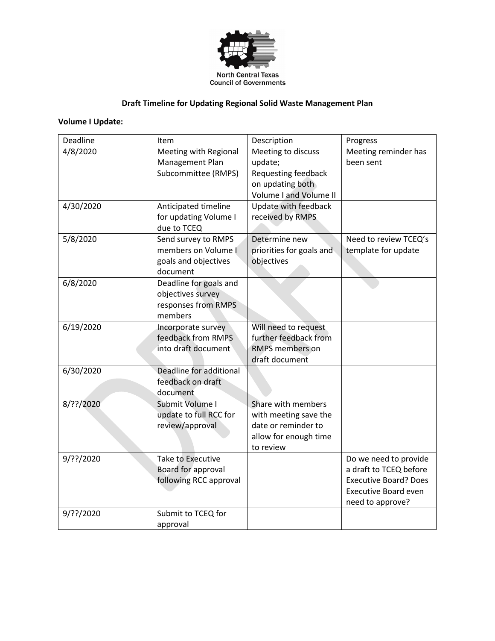

## **Draft Timeline for Updating Regional Solid Waste Management Plan**

## **Volume I Update:**

| Deadline  | Item                     | Description              | Progress                     |
|-----------|--------------------------|--------------------------|------------------------------|
| 4/8/2020  | Meeting with Regional    | Meeting to discuss       | Meeting reminder has         |
|           | Management Plan          | update;                  | been sent                    |
|           | Subcommittee (RMPS)      | Requesting feedback      |                              |
|           |                          | on updating both         |                              |
|           |                          | Volume I and Volume II   |                              |
| 4/30/2020 | Anticipated timeline     | Update with feedback     |                              |
|           | for updating Volume I    | received by RMPS         |                              |
|           | due to TCEQ              |                          |                              |
| 5/8/2020  | Send survey to RMPS      | Determine new            | Need to review TCEQ's        |
|           | members on Volume I      | priorities for goals and | template for update          |
|           | goals and objectives     | objectives               |                              |
|           | document                 |                          |                              |
| 6/8/2020  | Deadline for goals and   |                          |                              |
|           | objectives survey        |                          |                              |
|           | responses from RMPS      |                          |                              |
|           | members                  |                          |                              |
| 6/19/2020 | Incorporate survey       | Will need to request     |                              |
|           | feedback from RMPS       | further feedback from    |                              |
|           | into draft document      | <b>RMPS members on</b>   |                              |
|           |                          | draft document           |                              |
| 6/30/2020 | Deadline for additional  |                          |                              |
|           | feedback on draft        |                          |                              |
|           | document                 |                          |                              |
| 8/??/2020 | Submit Volume I          | Share with members       |                              |
|           | update to full RCC for   | with meeting save the    |                              |
|           | review/approval          | date or reminder to      |                              |
|           |                          | allow for enough time    |                              |
|           |                          | to review                |                              |
| 9/??/2020 | <b>Take to Executive</b> |                          | Do we need to provide        |
|           | Board for approval       |                          | a draft to TCEQ before       |
|           | following RCC approval   |                          | <b>Executive Board? Does</b> |
|           |                          |                          | <b>Executive Board even</b>  |
|           |                          |                          | need to approve?             |
| 9/??/2020 | Submit to TCEQ for       |                          |                              |
|           | approval                 |                          |                              |